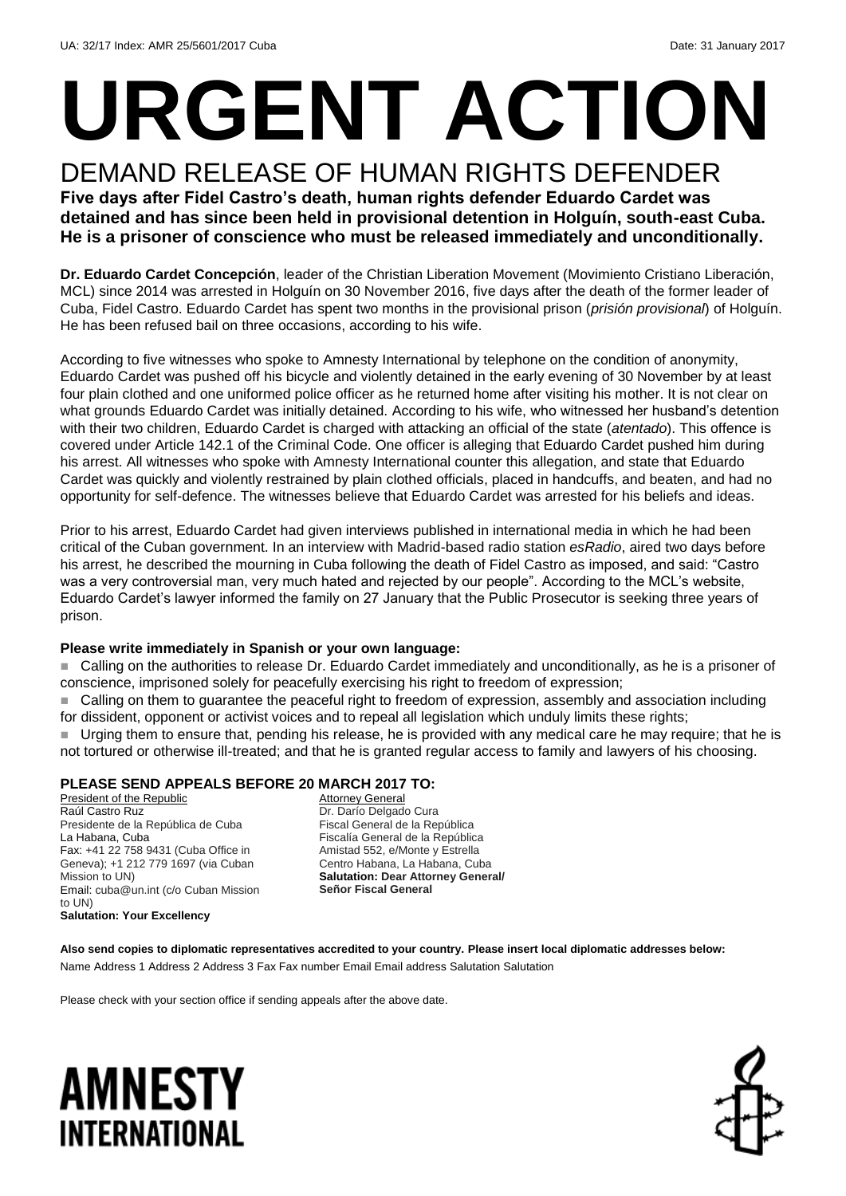# **URGENT ACTION**

DEMAND RELEASE OF HUMAN RIGHTS DEFENDER **Five days after Fidel Castro's death, human rights defender Eduardo Cardet was detained and has since been held in provisional detention in Holguín, south-east Cuba. He is a prisoner of conscience who must be released immediately and unconditionally.**

**Dr. Eduardo Cardet Concepción**, leader of the Christian Liberation Movement (Movimiento Cristiano Liberación, MCL) since 2014 was arrested in Holguín on 30 November 2016, five days after the death of the former leader of Cuba, Fidel Castro. Eduardo Cardet has spent two months in the provisional prison (*prisión provisional*) of Holguín. He has been refused bail on three occasions, according to his wife.

According to five witnesses who spoke to Amnesty International by telephone on the condition of anonymity, Eduardo Cardet was pushed off his bicycle and violently detained in the early evening of 30 November by at least four plain clothed and one uniformed police officer as he returned home after visiting his mother. It is not clear on what grounds Eduardo Cardet was initially detained. According to his wife, who witnessed her husband's detention with their two children, Eduardo Cardet is charged with attacking an official of the state (*atentado*). This offence is covered under Article 142.1 of the Criminal Code. One officer is alleging that Eduardo Cardet pushed him during his arrest. All witnesses who spoke with Amnesty International counter this allegation, and state that Eduardo Cardet was quickly and violently restrained by plain clothed officials, placed in handcuffs, and beaten, and had no opportunity for self-defence. The witnesses believe that Eduardo Cardet was arrested for his beliefs and ideas.

Prior to his arrest, Eduardo Cardet had given interviews published in international media in which he had been critical of the Cuban government. In an interview with Madrid-based radio station *esRadio*, aired two days before his arrest, he described the mourning in Cuba following the death of Fidel Castro as imposed, and said: "Castro was a very controversial man, very much hated and rejected by our people". According to the MCL's website, Eduardo Cardet's lawyer informed the family on 27 January that the Public Prosecutor is seeking three years of prison.

### **Please write immediately in Spanish or your own language:**

 Calling on the authorities to release Dr. Eduardo Cardet immediately and unconditionally, as he is a prisoner of conscience, imprisoned solely for peacefully exercising his right to freedom of expression;

 Calling on them to guarantee the peaceful right to freedom of expression, assembly and association including for dissident, opponent or activist voices and to repeal all legislation which unduly limits these rights;

 Urging them to ensure that, pending his release, he is provided with any medical care he may require; that he is not tortured or otherwise ill-treated; and that he is granted regular access to family and lawyers of his choosing.

### **PLEASE SEND APPEALS BEFORE 20 MARCH 2017 TO:**

President of the Republic Raúl Castro Ruz Presidente de la República de Cuba La Habana, Cuba Fax: +41 22 758 9431 (Cuba Office in Geneva); +1 212 779 1697 (via Cuban Mission to UN) Email: cuba@un.int (c/o Cuban Mission to UN) **Salutation: Your Excellency**

Attorney General Dr. Darío Delgado Cura Fiscal General de la República Fiscalía General de la República Amistad 552, e/Monte y Estrella Centro Habana, La Habana, Cuba **Salutation: Dear Attorney General/ Señor Fiscal General**

**Also send copies to diplomatic representatives accredited to your country. Please insert local diplomatic addresses below:** Name Address 1 Address 2 Address 3 Fax Fax number Email Email address Salutation Salutation

Please check with your section office if sending appeals after the above date.